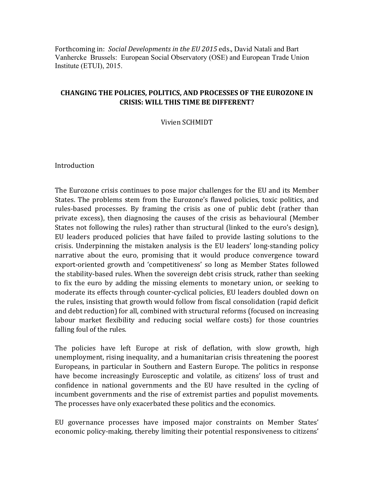Forthcoming in: *Social Developments in the EU 2015* eds., David Natali and Bart Vanhercke Brussels: European Social Observatory (OSE) and European Trade Union Institute (ETUI), 2015.

#### **CHANGING THE POLICIES, POLITICS, AND PROCESSES OF THE EUROZONE IN CRISIS: WILL THIS TIME BE DIFFERENT?**

Vivien SCHMIDT

Introduction

The Eurozone crisis continues to pose major challenges for the EU and its Member States. The problems stem from the Eurozone's flawed policies, toxic politics, and rules-based processes. By framing the crisis as one of public debt (rather than private excess), then diagnosing the causes of the crisis as behavioural (Member States not following the rules) rather than structural (linked to the euro's design), EU leaders produced policies that have failed to provide lasting solutions to the crisis. Underpinning the mistaken analysis is the EU leaders' long-standing policy narrative about the euro, promising that it would produce convergence toward export-oriented growth and 'competitiveness' so long as Member States followed the stability-based rules. When the sovereign debt crisis struck, rather than seeking to fix the euro by adding the missing elements to monetary union, or seeking to moderate its effects through counter-cyclical policies, EU leaders doubled down on the rules, insisting that growth would follow from fiscal consolidation (rapid deficit and debt reduction) for all, combined with structural reforms (focused on increasing labour market flexibility and reducing social welfare costs) for those countries falling foul of the rules.

The policies have left Europe at risk of deflation, with slow growth, high unemployment, rising inequality, and a humanitarian crisis threatening the poorest Europeans, in particular in Southern and Eastern Europe. The politics in response have become increasingly Eurosceptic and volatile, as citizens' loss of trust and confidence in national governments and the EU have resulted in the cycling of incumbent governments and the rise of extremist parties and populist movements. The processes have only exacerbated these politics and the economics.

EU governance processes have imposed major constraints on Member States' economic policy-making, thereby limiting their potential responsiveness to citizens'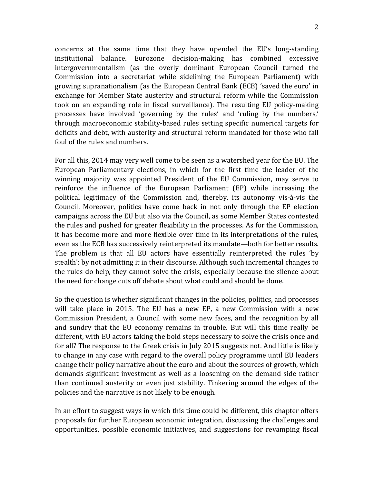concerns at the same time that they have upended the  $EU's$  long-standing institutional balance. Eurozone decision-making has combined excessive intergovernmentalism (as the overly dominant European Council turned the Commission into a secretariat while sidelining the European Parliament) with growing supranationalism (as the European Central Bank (ECB) 'saved the euro' in exchange for Member State austerity and structural reform while the Commission took on an expanding role in fiscal surveillance). The resulting EU policy-making processes have involved 'governing by the rules' and 'ruling by the numbers,' through macroeconomic stability-based rules setting specific numerical targets for deficits and debt, with austerity and structural reform mandated for those who fall foul of the rules and numbers.

For all this, 2014 may very well come to be seen as a watershed year for the EU. The European Parliamentary elections, in which for the first time the leader of the winning majority was appointed President of the EU Commission, may serve to reinforce the influence of the European Parliament (EP) while increasing the political legitimacy of the Commission and, thereby, its autonomy vis-à-vis the Council. Moreover, politics have come back in not only through the EP election campaigns across the EU but also via the Council, as some Member States contested the rules and pushed for greater flexibility in the processes. As for the Commission, it has become more and more flexible over time in its interpretations of the rules, even as the ECB has successively reinterpreted its mandate—both for better results. The problem is that all EU actors have essentially reinterpreted the rules 'by stealth': by not admitting it in their discourse. Although such incremental changes to the rules do help, they cannot solve the crisis, especially because the silence about the need for change cuts off debate about what could and should be done.

So the question is whether significant changes in the policies, politics, and processes will take place in 2015. The EU has a new EP, a new Commission with a new Commission President, a Council with some new faces, and the recognition by all and sundry that the EU economy remains in trouble. But will this time really be different, with EU actors taking the bold steps necessary to solve the crisis once and for all? The response to the Greek crisis in July 2015 suggests not. And little is likely to change in any case with regard to the overall policy programme until EU leaders change their policy narrative about the euro and about the sources of growth, which demands significant investment as well as a loosening on the demand side rather than continued austerity or even just stability. Tinkering around the edges of the policies and the narrative is not likely to be enough.

In an effort to suggest ways in which this time could be different, this chapter offers proposals for further European economic integration, discussing the challenges and opportunities, possible economic initiatives, and suggestions for revamping fiscal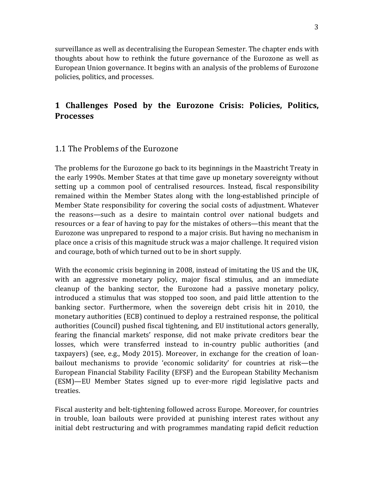surveillance as well as decentralising the European Semester. The chapter ends with thoughts about how to rethink the future governance of the Eurozone as well as European Union governance. It begins with an analysis of the problems of Eurozone policies, politics, and processes.

# **1 Challenges Posed by the Eurozone Crisis: Policies, Politics, Processes**

#### 1.1 The Problems of the Eurozone

The problems for the Eurozone go back to its beginnings in the Maastricht Treaty in the early 1990s. Member States at that time gave up monetary sovereignty without setting up a common pool of centralised resources. Instead, fiscal responsibility remained within the Member States along with the long-established principle of Member State responsibility for covering the social costs of adjustment. Whatever the reasons—such as a desire to maintain control over national budgets and resources or a fear of having to pay for the mistakes of others—this meant that the Eurozone was unprepared to respond to a major crisis. But having no mechanism in place once a crisis of this magnitude struck was a major challenge. It required vision and courage, both of which turned out to be in short supply.

With the economic crisis beginning in 2008, instead of imitating the US and the UK, with an aggressive monetary policy, major fiscal stimulus, and an immediate cleanup of the banking sector, the Eurozone had a passive monetary policy, introduced a stimulus that was stopped too soon, and paid little attention to the banking sector. Furthermore, when the sovereign debt crisis hit in 2010, the monetary authorities (ECB) continued to deploy a restrained response, the political authorities (Council) pushed fiscal tightening, and EU institutional actors generally, fearing the financial markets' response, did not make private creditors bear the losses, which were transferred instead to in-country public authorities (and taxpayers) (see, e.g., Mody 2015). Moreover, in exchange for the creation of loanbailout mechanisms to provide 'economic solidarity' for countries at risk-the European Financial Stability Facility (EFSF) and the European Stability Mechanism (ESM)—EU Member States signed up to ever-more rigid legislative pacts and treaties.

Fiscal austerity and belt-tightening followed across Europe. Moreover, for countries in trouble, loan bailouts were provided at punishing interest rates without any initial debt restructuring and with programmes mandating rapid deficit reduction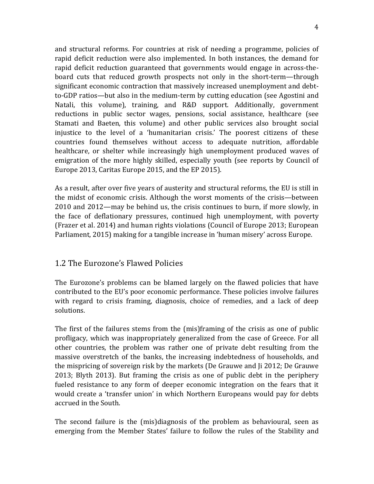and structural reforms. For countries at risk of needing a programme, policies of rapid deficit reduction were also implemented. In both instances, the demand for rapid deficit reduction guaranteed that governments would engage in across-theboard cuts that reduced growth prospects not only in the short-term—through significant economic contraction that massively increased unemployment and debtto-GDP ratios—but also in the medium-term by cutting education (see Agostini and Natali, this volume), training, and R&D support. Additionally, government reductions in public sector wages, pensions, social assistance, healthcare (see Stamati and Baeten, this volume) and other public services also brought social injustice to the level of a 'humanitarian crisis.' The poorest citizens of these countries found themselves without access to adequate nutrition, affordable healthcare, or shelter while increasingly high unemployment produced waves of emigration of the more highly skilled, especially youth (see reports by Council of Europe 2013, Caritas Europe 2015, and the EP 2015).

As a result, after over five years of austerity and structural reforms, the EU is still in the midst of economic crisis. Although the worst moments of the crisis—between 2010 and 2012—may be behind us, the crisis continues to burn, if more slowly, in the face of deflationary pressures, continued high unemployment, with poverty (Frazer et al. 2014) and human rights violations (Council of Europe 2013; European Parliament, 2015) making for a tangible increase in 'human misery' across Europe.

#### 1.2 The Eurozone's Flawed Policies

The Eurozone's problems can be blamed largely on the flawed policies that have contributed to the EU's poor economic performance. These policies involve failures with regard to crisis framing, diagnosis, choice of remedies, and a lack of deep solutions. 

The first of the failures stems from the  $(mis)$ framing of the crisis as one of public profligacy, which was inappropriately generalized from the case of Greece. For all other countries, the problem was rather one of private debt resulting from the massive overstretch of the banks, the increasing indebtedness of households, and the mispricing of sovereign risk by the markets (De Grauwe and Ji 2012; De Grauwe 2013; Blyth 2013). But framing the crisis as one of public debt in the periphery fueled resistance to any form of deeper economic integration on the fears that it would create a 'transfer union' in which Northern Europeans would pay for debts accrued in the South.

The second failure is the (mis)diagnosis of the problem as behavioural, seen as emerging from the Member States' failure to follow the rules of the Stability and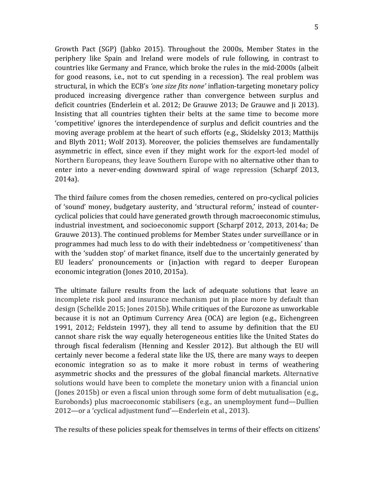Growth Pact (SGP) (Jabko 2015). Throughout the 2000s, Member States in the periphery like Spain and Ireland were models of rule following, in contrast to countries like Germany and France, which broke the rules in the mid-2000s (albeit for good reasons, i.e., not to cut spending in a recession). The real problem was structural, in which the ECB's 'one size fits none' inflation-targeting monetary policy produced increasing divergence rather than convergence between surplus and deficit countries (Enderlein et al. 2012; De Grauwe 2013; De Grauwe and Ii 2013). Insisting that all countries tighten their belts at the same time to become more 'competitive' ignores the interdependence of surplus and deficit countries and the moving average problem at the heart of such efforts (e.g., Skidelsky 2013; Matthijs and Blyth 2011; Wolf 2013). Moreover, the policies themselves are fundamentally asymmetric in effect, since even if they might work for the export-led model of Northern Europeans, they leave Southern Europe with no alternative other than to enter into a never-ending downward spiral of wage repression (Scharpf 2013, 2014a).

The third failure comes from the chosen remedies, centered on pro-cyclical policies of 'sound' money, budgetary austerity, and 'structural reform,' instead of countercyclical policies that could have generated growth through macroeconomic stimulus, industrial investment, and socioeconomic support (Scharpf 2012, 2013, 2014a; De Grauwe 2013). The continued problems for Member States under surveillance or in programmes had much less to do with their indebtedness or 'competitiveness' than with the 'sudden stop' of market finance, itself due to the uncertainly generated by EU leaders' pronouncements or (in)action with regard to deeper European economic integration (Jones 2010, 2015a).

The ultimate failure results from the lack of adequate solutions that leave an incomplete risk pool and insurance mechanism put in place more by default than design (Schelkle 2015; Jones 2015b). While critiques of the Eurozone as unworkable because it is not an Optimum Currency Area (OCA) are legion (e.g., Eichengreen 1991, 2012; Feldstein 1997), they all tend to assume by definition that the EU cannot share risk the way equally heterogeneous entities like the United States do through fiscal federalism (Henning and Kessler 2012). But although the EU will certainly never become a federal state like the US, there are many ways to deepen economic integration so as to make it more robust in terms of weathering asymmetric shocks and the pressures of the global financial markets. Alternative solutions would have been to complete the monetary union with a financial union (Jones 2015b) or even a fiscal union through some form of debt mutualisation (e.g., Eurobonds) plus macroeconomic stabilisers (e.g., an unemployment fund—Dullien 2012—or a 'cyclical adjustment fund'—Enderlein et al., 2013).

The results of these policies speak for themselves in terms of their effects on citizens'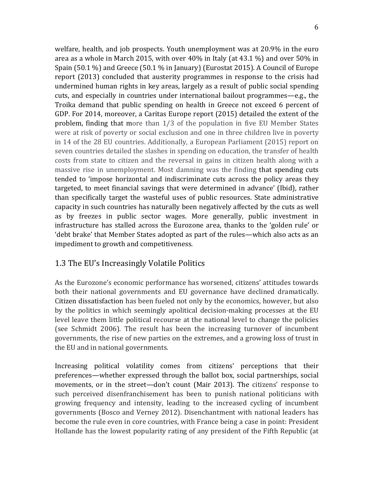welfare, health, and job prospects. Youth unemployment was at 20.9% in the euro area as a whole in March 2015, with over  $40\%$  in Italy (at  $43.1\%$ ) and over 50% in Spain  $(50.1 \%)$  and Greece  $(50.1 \%)$  in January) (Eurostat 2015). A Council of Europe report (2013) concluded that austerity programmes in response to the crisis had undermined human rights in key areas, largely as a result of public social spending cuts, and especially in countries under international bailout programmes—e.g., the Troika demand that public spending on health in Greece not exceed 6 percent of GDP. For 2014, moreover, a Caritas Europe report (2015) detailed the extent of the problem, finding that more than 1/3 of the population in five EU Member States were at risk of poverty or social exclusion and one in three children live in poverty in 14 of the 28 EU countries. Additionally, a European Parliament (2015) report on seven countries detailed the slashes in spending on education, the transfer of health costs from state to citizen and the reversal in gains in citizen health along with a massive rise in unemployment. Most damning was the finding that spending cuts tended to 'impose horizontal and indiscriminate cuts across the policy areas they targeted, to meet financial savings that were determined in advance' (Ibid), rather than specifically target the wasteful uses of public resources. State administrative capacity in such countries has naturally been negatively affected by the cuts as well as by freezes in public sector wages. More generally, public investment in infrastructure has stalled across the Eurozone area, thanks to the 'golden rule' or 'debt brake' that Member States adopted as part of the rules—which also acts as an impediment to growth and competitiveness.

#### 1.3 The EU's Increasingly Volatile Politics

As the Eurozone's economic performance has worsened, citizens' attitudes towards both their national governments and EU governance have declined dramatically. Citizen dissatisfaction has been fueled not only by the economics, however, but also by the politics in which seemingly apolitical decision-making processes at the EU level leave them little political recourse at the national level to change the policies (see Schmidt 2006). The result has been the increasing turnover of incumbent governments, the rise of new parties on the extremes, and a growing loss of trust in the EU and in national governments.

Increasing political volatility comes from citizens' perceptions that their preferences—whether expressed through the ballot box, social partnerships, social movements, or in the street—don't count (Mair 2013). The citizens' response to such perceived disenfranchisement has been to punish national politicians with growing frequency and intensity, leading to the increased cycling of incumbent governments (Bosco and Verney 2012). Disenchantment with national leaders has become the rule even in core countries, with France being a case in point: President Hollande has the lowest popularity rating of any president of the Fifth Republic (at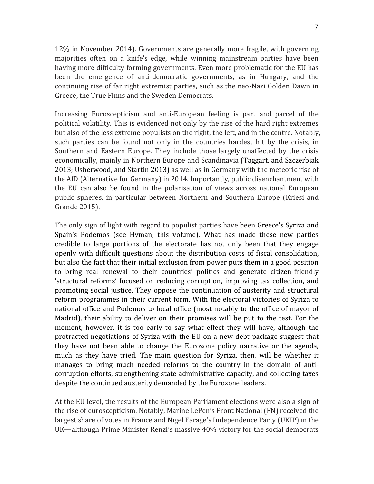12% in November 2014). Governments are generally more fragile, with governing majorities often on a knife's edge, while winning mainstream parties have been having more difficulty forming governments. Even more problematic for the EU has been the emergence of anti-democratic governments, as in Hungary, and the continuing rise of far right extremist parties, such as the neo-Nazi Golden Dawn in Greece, the True Finns and the Sweden Democrats.

Increasing Euroscepticism and anti-European feeling is part and parcel of the political volatility. This is evidenced not only by the rise of the hard right extremes but also of the less extreme populists on the right, the left, and in the centre. Notably, such parties can be found not only in the countries hardest hit by the crisis, in Southern and Eastern Europe. They include those largely unaffected by the crisis economically, mainly in Northern Europe and Scandinavia (Taggart, and Szczerbiak 2013; Usherwood, and Startin 2013) as well as in Germany with the meteoric rise of the AfD (Alternative for Germany) in 2014. Importantly, public disenchantment with the EU can also be found in the polarisation of views across national European public spheres, in particular between Northern and Southern Europe (Kriesi and Grande 2015). 

The only sign of light with regard to populist parties have been Greece's Syriza and Spain's Podemos (see Hyman, this volume). What has made these new parties credible to large portions of the electorate has not only been that they engage openly with difficult questions about the distribution costs of fiscal consolidation, but also the fact that their initial exclusion from power puts them in a good position to bring real renewal to their countries' politics and generate citizen-friendly 'structural reforms' focused on reducing corruption, improving tax collection, and promoting social justice. They oppose the continuation of austerity and structural reform programmes in their current form. With the electoral victories of Syriza to national office and Podemos to local office (most notably to the office of mayor of Madrid), their ability to deliver on their promises will be put to the test. For the moment, however, it is too early to say what effect they will have, although the protracted negotiations of Syriza with the EU on a new debt package suggest that they have not been able to change the Eurozone policy narrative or the agenda, much as they have tried. The main question for Syriza, then, will be whether it manages to bring much needed reforms to the country in the domain of anticorruption efforts, strengthening state administrative capacity, and collecting taxes despite the continued austerity demanded by the Eurozone leaders.

At the EU level, the results of the European Parliament elections were also a sign of the rise of euroscepticism. Notably, Marine LePen's Front National (FN) received the largest share of votes in France and Nigel Farage's Independence Party (UKIP) in the UK—although Prime Minister Renzi's massive 40% victory for the social democrats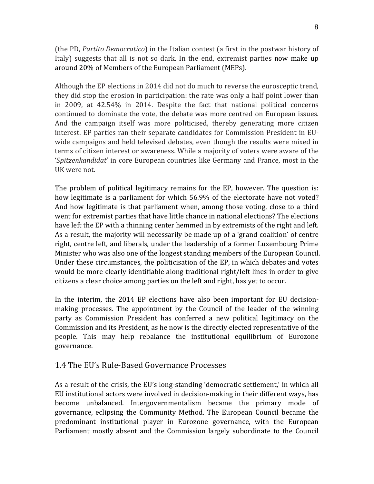(the PD, *Partito Democratico*) in the Italian contest (a first in the postwar history of Italy) suggests that all is not so dark. In the end, extremist parties now make up around 20% of Members of the European Parliament (MEPs).

Although the EP elections in 2014 did not do much to reverse the eurosceptic trend, they did stop the erosion in participation: the rate was only a half point lower than in  $2009$ , at  $42.54\%$  in  $2014$ . Despite the fact that national political concerns continued to dominate the vote, the debate was more centred on European issues. And the campaign itself was more politicised, thereby generating more citizen interest. EP parties ran their separate candidates for Commission President in EUwide campaigns and held televised debates, even though the results were mixed in terms of citizen interest or awareness. While a majority of voters were aware of the '*Spitzenkandidat'* in core European countries like Germany and France, most in the UK were not.

The problem of political legitimacy remains for the EP, however. The question is: how legitimate is a parliament for which 56.9% of the electorate have not voted? And how legitimate is that parliament when, among those voting, close to a third went for extremist parties that have little chance in national elections? The elections have left the EP with a thinning center hemmed in by extremists of the right and left. As a result, the majority will necessarily be made up of a 'grand coalition' of centre right, centre left, and liberals, under the leadership of a former Luxembourg Prime Minister who was also one of the longest standing members of the European Council. Under these circumstances, the politicisation of the EP, in which debates and votes would be more clearly identifiable along traditional right/left lines in order to give citizens a clear choice among parties on the left and right, has yet to occur.

In the interim, the 2014 EP elections have also been important for EU decisionmaking processes. The appointment by the Council of the leader of the winning party as Commission President has conferred a new political legitimacy on the Commission and its President, as he now is the directly elected representative of the people. This may help rebalance the institutional equilibrium of Eurozone governance.

#### 1.4 The EU's Rule-Based Governance Processes

As a result of the crisis, the EU's long-standing 'democratic settlement,' in which all EU institutional actors were involved in decision-making in their different ways, has become unbalanced. Intergovernmentalism became the primary mode of governance, eclipsing the Community Method. The European Council became the predominant institutional player in Eurozone governance, with the European Parliament mostly absent and the Commission largely subordinate to the Council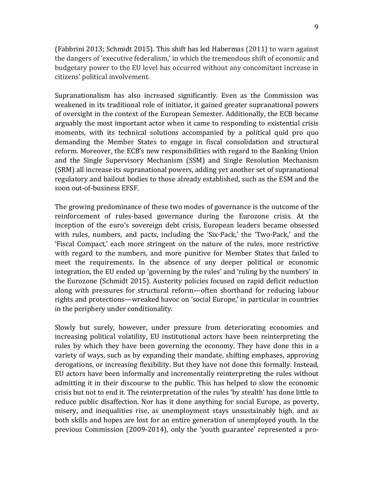(Fabbrini 2013; Schmidt 2015). This shift has led Habermas  $(2011)$  to warn against the dangers of 'executive federalism,' in which the tremendous shift of economic and budgetary power to the EU level has occurred without any concomitant increase in citizens' political involvement. 

Supranationalism has also increased significantly. Even as the Commission was weakened in its traditional role of initiator, it gained greater supranational powers of oversight in the context of the European Semester. Additionally, the ECB became arguably the most important actor when it came to responding to existential crisis moments, with its technical solutions accompanied by a political quid pro quo demanding the Member States to engage in fiscal consolidation and structural reform. Moreover, the ECB's new responsibilities with regard to the Banking Union and the Single Supervisory Mechanism (SSM) and Single Resolution Mechanism (SRM) all increase its supranational powers, adding yet another set of supranational regulatory and bailout bodies to those already established, such as the ESM and the soon out-of-business EFSF.

The growing predominance of these two modes of governance is the outcome of the reinforcement of rules-based governance during the Eurozone crisis. At the inception of the euro's sovereign debt crisis, European leaders became obsessed with rules, numbers, and pacts, including the 'Six-Pack,' the 'Two-Pack,' and the 'Fiscal Compact,' each more stringent on the nature of the rules, more restrictive with regard to the numbers, and more punitive for Member States that failed to meet the requirements. In the absence of any deeper political or economic integration, the EU ended up 'governing by the rules' and 'ruling by the numbers' in the Eurozone (Schmidt 2015). Austerity policies focused on rapid deficit reduction along with pressures for structural reform—often shorthand for reducing labour rights and protections—wreaked havoc on 'social Europe,' in particular in countries in the periphery under conditionality.

Slowly but surely, however, under pressure from deteriorating economies and increasing political volatility. EU institutional actors have been reinterpreting the rules by which they have been governing the economy. They have done this in a variety of ways, such as by expanding their mandate, shifting emphases, approving derogations, or increasing flexibility. But they have not done this formally. Instead, EU actors have been informally and incrementally reinterpreting the rules without admitting it in their discourse to the public. This has helped to slow the economic crisis but not to end it. The reinterpretation of the rules 'by stealth' has done little to reduce public disaffection. Nor has it done anything for social Europe, as poverty, misery, and inequalities rise, as unemployment stays unsustainably high, and as both skills and hopes are lost for an entire generation of unemployed youth. In the previous Commission (2009-2014), only the 'youth guarantee' represented a pro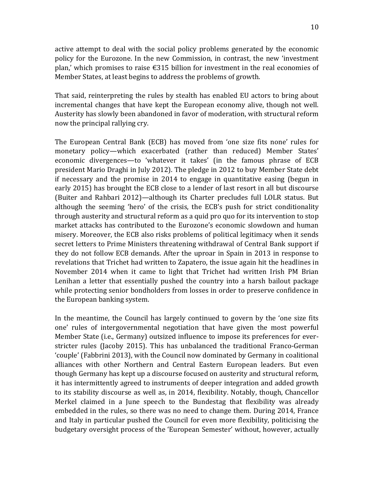active attempt to deal with the social policy problems generated by the economic policy for the Eurozone. In the new Commission, in contrast, the new 'investment plan,' which promises to raise  $\epsilon$ 315 billion for investment in the real economies of Member States, at least begins to address the problems of growth.

That said, reinterpreting the rules by stealth has enabled EU actors to bring about incremental changes that have kept the European economy alive, though not well. Austerity has slowly been abandoned in favor of moderation, with structural reform now the principal rallying cry.

The European Central Bank (ECB) has moved from 'one size fits none' rules for monetary policy—which exacerbated (rather than reduced) Member States' economic divergences—to 'whatever it takes' (in the famous phrase of ECB president Mario Draghi in July 2012). The pledge in 2012 to buy Member State debt if necessary and the promise in  $2014$  to engage in quantitative easing (begun in early 2015) has brought the ECB close to a lender of last resort in all but discourse (Buiter and Rahbari 2012)—although its Charter precludes full LOLR status. But although the seeming 'hero' of the crisis, the ECB's push for strict conditionality through austerity and structural reform as a quid pro quo for its intervention to stop market attacks has contributed to the Eurozone's economic slowdown and human misery. Moreover, the ECB also risks problems of political legitimacy when it sends secret letters to Prime Ministers threatening withdrawal of Central Bank support if they do not follow ECB demands. After the uproar in Spain in 2013 in response to revelations that Trichet had written to Zapatero, the issue again hit the headlines in November 2014 when it came to light that Trichet had written Irish PM Brian Lenihan a letter that essentially pushed the country into a harsh bailout package while protecting senior bondholders from losses in order to preserve confidence in the European banking system.

In the meantime, the Council has largely continued to govern by the 'one size fits one' rules of intergovernmental negotiation that have given the most powerful Member State (i.e., Germany) outsized influence to impose its preferences for everstricter rules (Jacoby 2015). This has unbalanced the traditional Franco-German 'couple' (Fabbrini 2013), with the Council now dominated by Germany in coalitional alliances with other Northern and Central Eastern European leaders. But even though Germany has kept up a discourse focused on austerity and structural reform, it has intermittently agreed to instruments of deeper integration and added growth to its stability discourse as well as, in 2014, flexibility. Notably, though, Chancellor Merkel claimed in a June speech to the Bundestag that flexibility was already embedded in the rules, so there was no need to change them. During 2014, France and Italy in particular pushed the Council for even more flexibility, politicising the budgetary oversight process of the 'European Semester' without, however, actually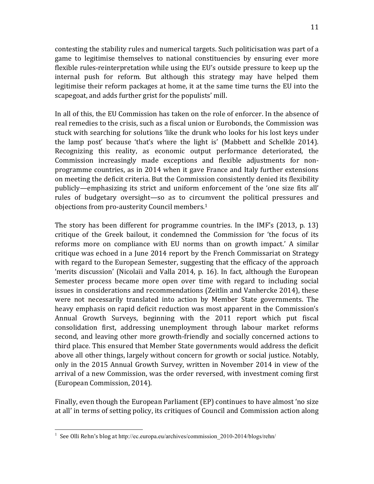contesting the stability rules and numerical targets. Such politicisation was part of a game to legitimise themselves to national constituencies by ensuring ever more flexible rules-reinterpretation while using the EU's outside pressure to keep up the internal push for reform. But although this strategy may have helped them legitimise their reform packages at home, it at the same time turns the EU into the scapegoat, and adds further grist for the populists' mill.

In all of this, the EU Commission has taken on the role of enforcer. In the absence of real remedies to the crisis, such as a fiscal union or Eurobonds, the Commission was stuck with searching for solutions 'like the drunk who looks for his lost keys under the lamp post' because 'that's where the light is' (Mabbett and Schelkle 2014). Recognizing this reality, as economic output performance deteriorated, the Commission increasingly made exceptions and flexible adjustments for nonprogramme countries, as in 2014 when it gave France and Italy further extensions on meeting the deficit criteria. But the Commission consistently denied its flexibility publicly—emphasizing its strict and uniform enforcement of the 'one size fits all' rules of budgetary oversight—so as to circumvent the political pressures and objections from pro-austerity Council members.<sup>1</sup>

The story has been different for programme countries. In the IMF's  $(2013, p. 13)$ critique of the Greek bailout, it condemned the Commission for 'the focus of its reforms more on compliance with EU norms than on growth impact.' A similar critique was echoed in a June 2014 report by the French Commissariat on Strategy with regard to the European Semester, suggesting that the efficacy of the approach 'merits discussion' (Nicolaïi and Valla 2014, p. 16). In fact, although the European Semester process became more open over time with regard to including social issues in considerations and recommendations (Zeitlin and Vanhercke 2014), these were not necessarily translated into action by Member State governments. The heavy emphasis on rapid deficit reduction was most apparent in the Commission's Annual Growth Surveys, beginning with the 2011 report which put fiscal consolidation first, addressing unemployment through labour market reforms second, and leaving other more growth-friendly and socially concerned actions to third place. This ensured that Member State governments would address the deficit above all other things, largely without concern for growth or social justice. Notably, only in the 2015 Annual Growth Survey, written in November 2014 in view of the arrival of a new Commission, was the order reversed, with investment coming first (European Commission, 2014).

Finally, even though the European Parliament (EP) continues to have almost 'no size at all' in terms of setting policy, its critiques of Council and Commission action along

<sup>1&</sup>lt;br>
<sup>1</sup> See Olli Rehn's blog at http://ec.europa.eu/archives/commission\_2010-2014/blogs/rehn/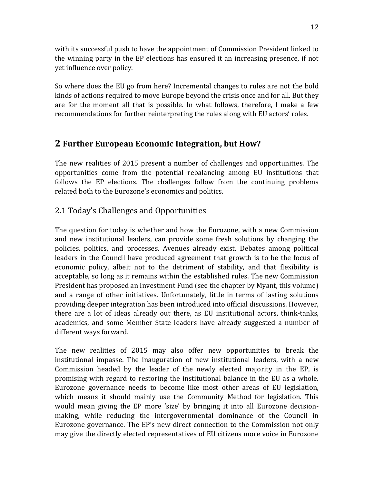with its successful push to have the appointment of Commission President linked to the winning party in the  $EP$  elections has ensured it an increasing presence, if not yet influence over policy.

So where does the EU go from here? Incremental changes to rules are not the bold kinds of actions required to move Europe beyond the crisis once and for all. But they are for the moment all that is possible. In what follows, therefore, I make a few recommendations for further reinterpreting the rules along with EU actors' roles.

# **2** Further European Economic Integration, but How?

The new realities of 2015 present a number of challenges and opportunities. The opportunities come from the potential rebalancing among EU institutions that follows the EP elections. The challenges follow from the continuing problems related both to the Eurozone's economics and politics.

# 2.1 Today's Challenges and Opportunities

The question for today is whether and how the Eurozone, with a new Commission and new institutional leaders, can provide some fresh solutions by changing the policies, politics, and processes. Avenues already exist. Debates among political leaders in the Council have produced agreement that growth is to be the focus of economic policy, albeit not to the detriment of stability, and that flexibility is acceptable, so long as it remains within the established rules. The new Commission President has proposed an Investment Fund (see the chapter by Myant, this volume) and a range of other initiatives. Unfortunately, little in terms of lasting solutions providing deeper integration has been introduced into official discussions. However, there are a lot of ideas already out there, as EU institutional actors, think-tanks, academics, and some Member State leaders have already suggested a number of different ways forward.

The new realities of  $2015$  may also offer new opportunities to break the institutional impasse. The inauguration of new institutional leaders, with a new Commission headed by the leader of the newly elected majority in the EP, is promising with regard to restoring the institutional balance in the EU as a whole. Eurozone governance needs to become like most other areas of EU legislation, which means it should mainly use the Community Method for legislation. This would mean giving the EP more 'size' by bringing it into all Eurozone decisionmaking, while reducing the intergovernmental dominance of the Council in Eurozone governance. The EP's new direct connection to the Commission not only may give the directly elected representatives of EU citizens more voice in Eurozone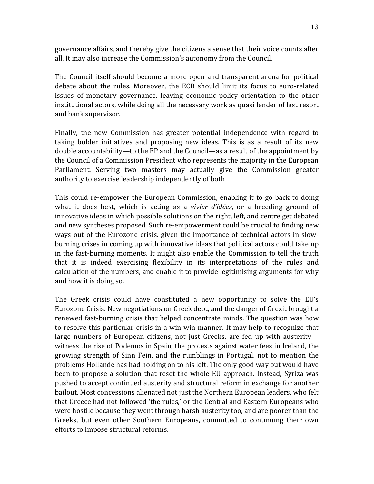governance affairs, and thereby give the citizens a sense that their voice counts after all. It may also increase the Commission's autonomy from the Council.

The Council itself should become a more open and transparent arena for political debate about the rules. Moreover, the ECB should limit its focus to euro-related issues of monetary governance, leaving economic policy orientation to the other institutional actors, while doing all the necessary work as quasi lender of last resort and bank supervisor.

Finally, the new Commission has greater potential independence with regard to taking bolder initiatives and proposing new ideas. This is as a result of its new double accountability—to the EP and the Council—as a result of the appointment by the Council of a Commission President who represents the majority in the European Parliament. Serving two masters may actually give the Commission greater authority to exercise leadership independently of both

This could re-empower the European Commission, enabling it to go back to doing what it does best, which is acting as a *vivier d'idées*, or a breeding ground of innovative ideas in which possible solutions on the right, left, and centre get debated and new syntheses proposed. Such re-empowerment could be crucial to finding new ways out of the Eurozone crisis, given the importance of technical actors in slowburning crises in coming up with innovative ideas that political actors could take up in the fast-burning moments. It might also enable the Commission to tell the truth that it is indeed exercising flexibility in its interpretations of the rules and calculation of the numbers, and enable it to provide legitimising arguments for why and how it is doing so.

The Greek crisis could have constituted a new opportunity to solve the EU's Eurozone Crisis. New negotiations on Greek debt, and the danger of Grexit brought a renewed fast-burning crisis that helped concentrate minds. The question was how to resolve this particular crisis in a win-win manner. It may help to recognize that large numbers of European citizens, not just Greeks, are fed up with austeritywitness the rise of Podemos in Spain, the protests against water fees in Ireland, the growing strength of Sinn Fein, and the rumblings in Portugal, not to mention the problems Hollande has had holding on to his left. The only good way out would have been to propose a solution that reset the whole EU approach. Instead, Syriza was pushed to accept continued austerity and structural reform in exchange for another bailout. Most concessions alienated not just the Northern European leaders, who felt that Greece had not followed 'the rules,' or the Central and Eastern Europeans who were hostile because they went through harsh austerity too, and are poorer than the Greeks, but even other Southern Europeans, committed to continuing their own efforts to impose structural reforms.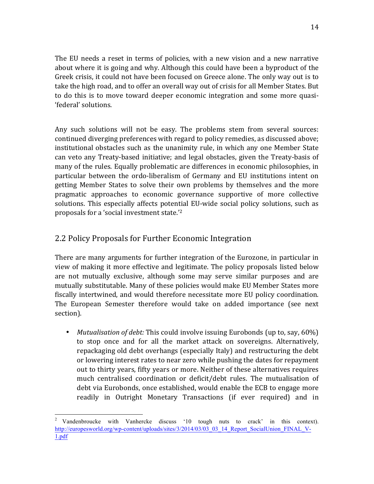The EU needs a reset in terms of policies, with a new vision and a new narrative about where it is going and why. Although this could have been a byproduct of the Greek crisis, it could not have been focused on Greece alone. The only way out is to take the high road, and to offer an overall way out of crisis for all Member States. But to do this is to move toward deeper economic integration and some more quasi-'federal' solutions.

Any such solutions will not be easy. The problems stem from several sources: continued diverging preferences with regard to policy remedies, as discussed above; institutional obstacles such as the unanimity rule, in which any one Member State can veto any Treaty-based initiative; and legal obstacles, given the Treaty-basis of many of the rules. Equally problematic are differences in economic philosophies, in particular between the ordo-liberalism of Germany and EU institutions intent on getting Member States to solve their own problems by themselves and the more pragmatic approaches to economic governance supportive of more collective solutions. This especially affects potential EU-wide social policy solutions, such as proposals for a 'social investment state.'<sup>2</sup>

# 2.2 Policy Proposals for Further Economic Integration

There are many arguments for further integration of the Eurozone, in particular in view of making it more effective and legitimate. The policy proposals listed below are not mutually exclusive, although some may serve similar purposes and are mutually substitutable. Many of these policies would make EU Member States more fiscally intertwined, and would therefore necessitate more EU policy coordination. The European Semester therefore would take on added importance (see next) section).

• *Mutualisation of debt:* This could involve issuing Eurobonds (up to, say, 60%) to stop once and for all the market attack on sovereigns. Alternatively, repackaging old debt overhangs (especially Italy) and restructuring the debt or lowering interest rates to near zero while pushing the dates for repayment out to thirty years, fifty years or more. Neither of these alternatives requires much centralised coordination or deficit/debt rules. The mutualisation of debt via Eurobonds, once established, would enable the ECB to engage more readily in Outright Monetary Transactions (if ever required) and in

<sup>&</sup>lt;sup>2</sup> Vandenbroucke with Vanhercke discuss '10 tough nuts to crack' in this context). http://europesworld.org/wp-content/uploads/sites/3/2014/03/03\_03\_14\_Report\_SocialUnion\_FINAL\_V-1.pdf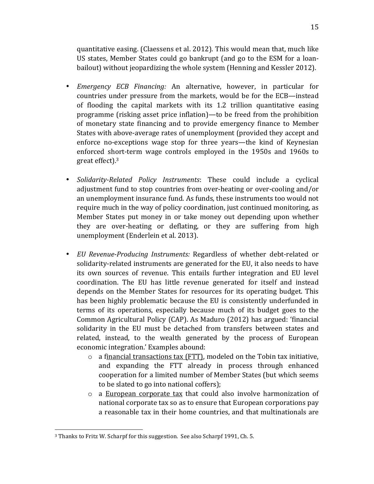quantitative easing. (Claessens et al. 2012). This would mean that, much like US states, Member States could go bankrupt (and go to the ESM for a loanbailout) without jeopardizing the whole system (Henning and Kessler 2012).

- *Emergency ECB Financing:* An alternative, however, in particular for countries under pressure from the markets, would be for the ECB—instead of flooding the capital markets with its  $1.2$  trillion quantitative easing programme (risking asset price inflation)—to be freed from the prohibition of monetary state financing and to provide emergency finance to Member States with above-average rates of unemployment (provided they accept and enforce no-exceptions wage stop for three years—the kind of Keynesian enforced short-term wage controls employed in the 1950s and 1960s to great effect). $3$
- *Solidarity-Related Policy Instruments*: These could include a cyclical adjustment fund to stop countries from over-heating or over-cooling and/or an unemployment insurance fund. As funds, these instruments too would not require much in the way of policy coordination, just continued monitoring, as Member States put money in or take money out depending upon whether they are over-heating or deflating, or they are suffering from high unemployment (Enderlein et al. 2013).
- *EU Revenue-Producing Instruments:* Regardless of whether debt-related or solidarity-related instruments are generated for the EU, it also needs to have its own sources of revenue. This entails further integration and EU level coordination. The EU has little revenue generated for itself and instead depends on the Member States for resources for its operating budget. This has been highly problematic because the EU is consistently underfunded in terms of its operations, especially because much of its budget goes to the Common Agricultural Policy (CAP). As Maduro (2012) has argued: 'financial solidarity in the EU must be detached from transfers between states and related, instead, to the wealth generated by the process of European economic integration.' Examples abound:
	- $\circ$  a financial transactions tax (FTT), modeled on the Tobin tax initiative. and expanding the FTT already in process through enhanced cooperation for a limited number of Member States (but which seems to be slated to go into national coffers);
	- $\circ$  a European corporate tax that could also involve harmonization of national corporate tax so as to ensure that European corporations pay a reasonable tax in their home countries, and that multinationals are

 

<sup>&</sup>lt;sup>3</sup> Thanks to Fritz W. Scharpf for this suggestion. See also Scharpf 1991, Ch. 5.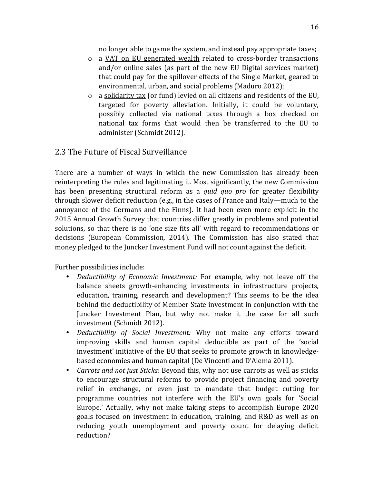no longer able to game the system, and instead pay appropriate taxes;

- $\circ$  a VAT on EU generated wealth related to cross-border transactions and/or online sales (as part of the new EU Digital services market) that could pay for the spillover effects of the Single Market, geared to environmental, urban, and social problems (Maduro 2012);
- $\circ$  a solidarity tax (or fund) levied on all citizens and residents of the EU, targeted for poverty alleviation. Initially, it could be voluntary, possibly collected via national taxes through a box checked on national tax forms that would then be transferred to the EU to administer (Schmidt 2012).

### 2.3 The Future of Fiscal Surveillance

There are a number of ways in which the new Commission has already been reinterpreting the rules and legitimating it. Most significantly, the new Commission has been presenting structural reform as a *quid quo pro* for greater flexibility through slower deficit reduction  $(e.g., in the cases of France and Italy—much to the$ annoyance of the Germans and the Finns). It had been even more explicit in the 2015 Annual Growth Survey that countries differ greatly in problems and potential solutions, so that there is no 'one size fits all' with regard to recommendations or decisions (European Commission, 2014). The Commission has also stated that money pledged to the Juncker Investment Fund will not count against the deficit.

Further possibilities include:

- *Deductibility of Economic Investment:* For example, why not leave off the balance sheets growth-enhancing investments in infrastructure projects, education, training, research and development? This seems to be the idea behind the deductibility of Member State investment in conjunction with the Juncker Investment Plan, but why not make it the case for all such investment (Schmidt 2012).
- *Deductibility of Social Investment:* Why not make any efforts toward improving skills and human capital deductible as part of the 'social investment' initiative of the EU that seeks to promote growth in knowledgebased economies and human capital (De Vincenti and D'Alema 2011).
- *Carrots and not just Sticks:* Beyond this, why not use carrots as well as sticks to encourage structural reforms to provide project financing and poverty relief in exchange, or even just to mandate that budget cutting for programme countries not interfere with the EU's own goals for 'Social Europe.' Actually, why not make taking steps to accomplish Europe 2020 goals focused on investment in education, training, and R&D as well as on reducing youth unemployment and poverty count for delaying deficit reduction?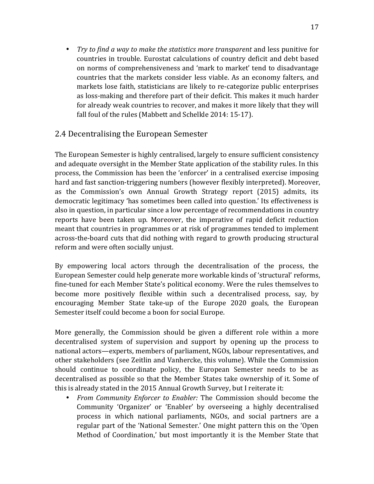• *Try to find a way to make the statistics more transparent* and less punitive for countries in trouble. Eurostat calculations of country deficit and debt based on norms of comprehensiveness and 'mark to market' tend to disadvantage countries that the markets consider less viable. As an economy falters, and markets lose faith, statisticians are likely to re-categorize public enterprises as loss-making and therefore part of their deficit. This makes it much harder for already weak countries to recover, and makes it more likely that they will fall foul of the rules (Mabbett and Schelkle 2014: 15-17).

### 2.4 Decentralising the European Semester

The European Semester is highly centralised, largely to ensure sufficient consistency and adequate oversight in the Member State application of the stability rules. In this process, the Commission has been the 'enforcer' in a centralised exercise imposing hard and fast sanction-triggering numbers (however flexibly interpreted). Moreover, as the Commission's own Annual Growth Strategy report (2015) admits, its democratic legitimacy 'has sometimes been called into question.' Its effectiveness is also in question, in particular since a low percentage of recommendations in country reports have been taken up. Moreover, the imperative of rapid deficit reduction meant that countries in programmes or at risk of programmes tended to implement across-the-board cuts that did nothing with regard to growth producing structural reform and were often socially unjust.

By empowering local actors through the decentralisation of the process, the European Semester could help generate more workable kinds of 'structural' reforms, fine-tuned for each Member State's political economy. Were the rules themselves to become more positively flexible within such a decentralised process, say, by encouraging Member State take-up of the Europe 2020 goals, the European Semester itself could become a boon for social Europe.

More generally, the Commission should be given a different role within a more decentralised system of supervision and support by opening up the process to national actors—experts, members of parliament, NGOs, labour representatives, and other stakeholders (see Zeitlin and Vanhercke, this volume). While the Commission should continue to coordinate policy, the European Semester needs to be as decentralised as possible so that the Member States take ownership of it. Some of this is already stated in the 2015 Annual Growth Survey, but I reiterate it:

• *From Community Enforcer to Enabler:* The Commission should become the Community 'Organizer' or 'Enabler' by overseeing a highly decentralised process in which national parliaments, NGOs, and social partners are a regular part of the 'National Semester.' One might pattern this on the 'Open Method of Coordination,' but most importantly it is the Member State that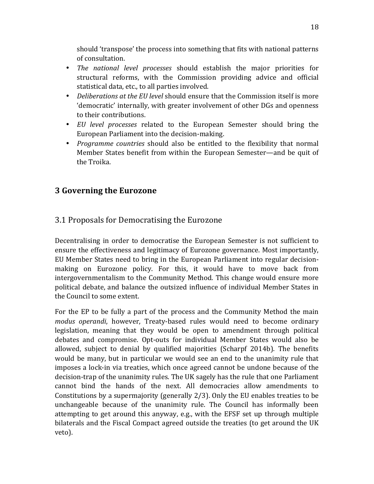should 'transpose' the process into something that fits with national patterns of consultation.

- *The national level processes* should establish the major priorities for structural reforms, with the Commission providing advice and official statistical data, etc., to all parties involved.
- *Deliberations at the EU level* should ensure that the Commission itself is more 'democratic' internally, with greater involvement of other DGs and openness to their contributions.
- *EU level processes* related to the European Semester should bring the European Parliament into the decision-making.
- *Programme countries* should also be entitled to the flexibility that normal Member States benefit from within the European Semester—and be quit of the Troika.

# **3 Governing the Eurozone**

### 3.1 Proposals for Democratising the Eurozone

Decentralising in order to democratise the European Semester is not sufficient to ensure the effectiveness and legitimacy of Eurozone governance. Most importantly, EU Member States need to bring in the European Parliament into regular decisionmaking on Eurozone policy. For this, it would have to move back from intergovernmentalism to the Community Method. This change would ensure more political debate, and balance the outsized influence of individual Member States in the Council to some extent.

For the EP to be fully a part of the process and the Community Method the main *modus operandi*, however, Treaty-based rules would need to become ordinary legislation, meaning that they would be open to amendment through political debates and compromise. Opt-outs for individual Member States would also be allowed, subject to denial by qualified majorities (Scharpf 2014b). The benefits would be many, but in particular we would see an end to the unanimity rule that imposes a lock-in via treaties, which once agreed cannot be undone because of the decision-trap of the unanimity rules. The UK sagely has the rule that one Parliament cannot bind the hands of the next. All democracies allow amendments to Constitutions by a supermajority (generally  $2/3$ ). Only the EU enables treaties to be unchangeable because of the unanimity rule. The Council has informally been attempting to get around this anyway, e.g., with the EFSF set up through multiple bilaterals and the Fiscal Compact agreed outside the treaties (to get around the UK veto).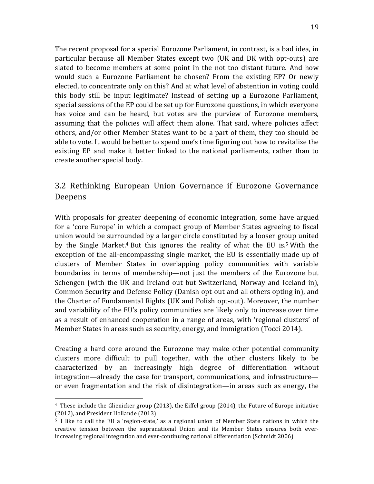The recent proposal for a special Eurozone Parliament, in contrast, is a bad idea, in particular because all Member States except two (UK and DK with opt-outs) are slated to become members at some point in the not too distant future. And how would such a Eurozone Parliament be chosen? From the existing EP? Or newly elected, to concentrate only on this? And at what level of abstention in voting could this body still be input legitimate? Instead of setting up a Eurozone Parliament, special sessions of the EP could be set up for Eurozone questions, in which everyone has voice and can be heard, but votes are the purview of Eurozone members, assuming that the policies will affect them alone. That said, where policies affect others, and/or other Member States want to be a part of them, they too should be able to vote. It would be better to spend one's time figuring out how to revitalize the existing EP and make it better linked to the national parliaments, rather than to create another special body.

# 3.2 Rethinking European Union Governance if Eurozone Governance Deepens

With proposals for greater deepening of economic integration, some have argued for a 'core Europe' in which a compact group of Member States agreeing to fiscal union would be surrounded by a larger circle constituted by a looser group united by the Single Market.<sup>4</sup> But this ignores the reality of what the EU is.<sup>5</sup> With the exception of the all-encompassing single market, the EU is essentially made up of clusters of Member States in overlapping policy communities with variable boundaries in terms of membership—not just the members of the Eurozone but Schengen (with the UK and Ireland out but Switzerland, Norway and Iceland in), Common Security and Defense Policy (Danish opt-out and all others opting in), and the Charter of Fundamental Rights (UK and Polish opt-out). Moreover, the number and variability of the EU's policy communities are likely only to increase over time as a result of enhanced cooperation in a range of areas, with 'regional clusters' of Member States in areas such as security, energy, and immigration (Tocci 2014).

Creating a hard core around the Eurozone may make other potential community clusters more difficult to pull together, with the other clusters likely to be characterized by an increasingly high degree of differentiation without integration—already the case for transport, communications, and infrastructure or even fragmentation and the risk of disintegration—in areas such as energy, the

 

<sup>&</sup>lt;sup>4</sup> These include the Glienicker group (2013), the Eiffel group (2014), the Future of Europe initiative (2012), and President Hollande (2013)

 $5\,$  I like to call the EU a 'region-state,' as a regional union of Member State nations in which the creative tension between the supranational Union and its Member States ensures both everincreasing regional integration and ever-continuing national differentiation (Schmidt 2006)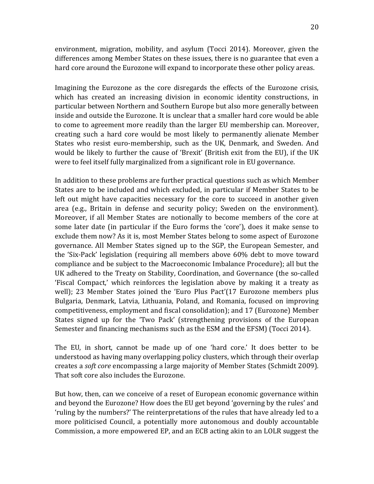environment, migration, mobility, and asylum (Tocci 2014). Moreover, given the differences among Member States on these issues, there is no guarantee that even a hard core around the Eurozone will expand to incorporate these other policy areas.

Imagining the Eurozone as the core disregards the effects of the Eurozone crisis, which has created an increasing division in economic identity constructions, in particular between Northern and Southern Europe but also more generally between inside and outside the Eurozone. It is unclear that a smaller hard core would be able to come to agreement more readily than the larger EU membership can. Moreover, creating such a hard core would be most likely to permanently alienate Member States who resist euro-membership, such as the UK, Denmark, and Sweden. And would be likely to further the cause of 'Brexit' (British exit from the EU), if the UK were to feel itself fully marginalized from a significant role in EU governance.

In addition to these problems are further practical questions such as which Member States are to be included and which excluded, in particular if Member States to be left out might have capacities necessary for the core to succeed in another given area (e.g., Britain in defense and security policy; Sweden on the environment). Moreover, if all Member States are notionally to become members of the core at some later date (in particular if the Euro forms the 'core'), does it make sense to exclude them now? As it is, most Member States belong to some aspect of Eurozone governance. All Member States signed up to the SGP, the European Semester, and the 'Six-Pack' legislation (requiring all members above 60% debt to move toward compliance and be subject to the Macroeconomic Imbalance Procedure); all but the UK adhered to the Treaty on Stability, Coordination, and Governance (the so-called 'Fiscal Compact,' which reinforces the legislation above by making it a treaty as well); 23 Member States joined the 'Euro Plus Pact'(17 Eurozone members plus Bulgaria, Denmark, Latvia, Lithuania, Poland, and Romania, focused on improving competitiveness, employment and fiscal consolidation); and 17 (Eurozone) Member States signed up for the 'Two Pack' (strengthening provisions of the European Semester and financing mechanisms such as the ESM and the EFSM) (Tocci 2014).

The EU, in short, cannot be made up of one 'hard core.' It does better to be understood as having many overlapping policy clusters, which through their overlap creates a *soft core* encompassing a large majority of Member States (Schmidt 2009). That soft core also includes the Eurozone.

But how, then, can we conceive of a reset of European economic governance within and beyond the Eurozone? How does the EU get beyond 'governing by the rules' and 'ruling by the numbers?' The reinterpretations of the rules that have already led to a more politicised Council, a potentially more autonomous and doubly accountable Commission, a more empowered EP, and an ECB acting akin to an LOLR suggest the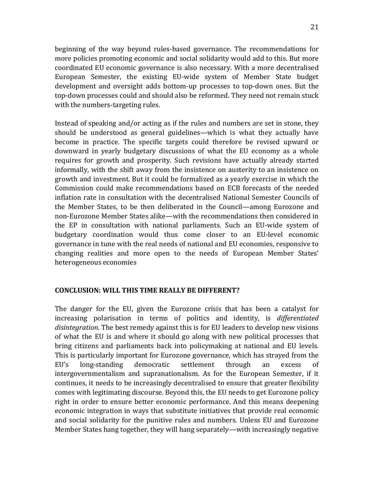beginning of the way beyond rules-based governance. The recommendations for more policies promoting economic and social solidarity would add to this. But more coordinated EU economic governance is also necessary. With a more decentralised European Semester, the existing EU-wide system of Member State budget development and oversight adds bottom-up processes to top-down ones. But the

Instead of speaking and/or acting as if the rules and numbers are set in stone, they should be understood as general guidelines—which is what they actually have become in practice. The specific targets could therefore be revised upward or downward in yearly budgetary discussions of what the EU economy as a whole requires for growth and prosperity. Such revisions have actually already started informally, with the shift away from the insistence on austerity to an insistence on growth and investment. But it could be formalized as a yearly exercise in which the Commission could make recommendations based on ECB forecasts of the needed inflation rate in consultation with the decentralised National Semester Councils of the Member States, to be then deliberated in the Council—among Eurozone and non-Eurozone Member States alike—with the recommendations then considered in the EP in consultation with national parliaments. Such an EU-wide system of budgetary coordination would thus come closer to an EU-level economic governance in tune with the real needs of national and EU economies, responsive to changing realities and more open to the needs of European Member States' heterogeneous economies

top-down processes could and should also be reformed. They need not remain stuck

#### **CONCLUSION: WILL THIS TIME REALLY BE DIFFERENT?**

with the numbers-targeting rules.

The danger for the EU, given the Eurozone crisis that has been a catalyst for increasing polarisation in terms of politics and identity, is *differentiated* disintegration. The best remedy against this is for EU leaders to develop new visions of what the EU is and where it should go along with new political processes that bring citizens and parliaments back into policymaking at national and EU levels. This is particularly important for Eurozone governance, which has strayed from the EU's long-standing democratic settlement through an excess of intergovernmentalism and supranationalism. As for the European Semester, if it continues, it needs to be increasingly decentralised to ensure that greater flexibility comes with legitimating discourse. Beyond this, the EU needs to get Eurozone policy right in order to ensure better economic performance. And this means deepening economic integration in ways that substitute initiatives that provide real economic and social solidarity for the punitive rules and numbers. Unless EU and Eurozone Member States hang together, they will hang separately—with increasingly negative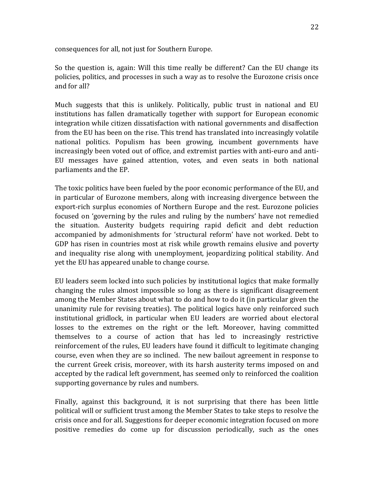consequences for all, not just for Southern Europe.

So the question is, again: Will this time really be different? Can the EU change its policies, politics, and processes in such a way as to resolve the Eurozone crisis once and for all?

Much suggests that this is unlikely. Politically, public trust in national and EU institutions has fallen dramatically together with support for European economic integration while citizen dissatisfaction with national governments and disaffection from the EU has been on the rise. This trend has translated into increasingly volatile national politics. Populism has been growing, incumbent governments have increasingly been voted out of office, and extremist parties with anti-euro and anti-EU messages have gained attention, votes, and even seats in both national parliaments and the EP.

The toxic politics have been fueled by the poor economic performance of the EU, and in particular of Eurozone members, along with increasing divergence between the export-rich surplus economies of Northern Europe and the rest. Eurozone policies focused on 'governing by the rules and ruling by the numbers' have not remedied the situation. Austerity budgets requiring rapid deficit and debt reduction accompanied by admonishments for 'structural reform' have not worked. Debt to GDP has risen in countries most at risk while growth remains elusive and poverty and inequality rise along with unemployment, jeopardizing political stability. And yet the EU has appeared unable to change course.

EU leaders seem locked into such policies by institutional logics that make formally changing the rules almost impossible so long as there is significant disagreement among the Member States about what to do and how to do it (in particular given the unanimity rule for revising treaties). The political logics have only reinforced such institutional gridlock, in particular when EU leaders are worried about electoral losses to the extremes on the right or the left. Moreover, having committed themselves to a course of action that has led to increasingly restrictive reinforcement of the rules, EU leaders have found it difficult to legitimate changing course, even when they are so inclined. The new bailout agreement in response to the current Greek crisis, moreover, with its harsh austerity terms imposed on and accepted by the radical left government, has seemed only to reinforced the coalition supporting governance by rules and numbers.

Finally, against this background, it is not surprising that there has been little political will or sufficient trust among the Member States to take steps to resolve the crisis once and for all. Suggestions for deeper economic integration focused on more positive remedies do come up for discussion periodically, such as the ones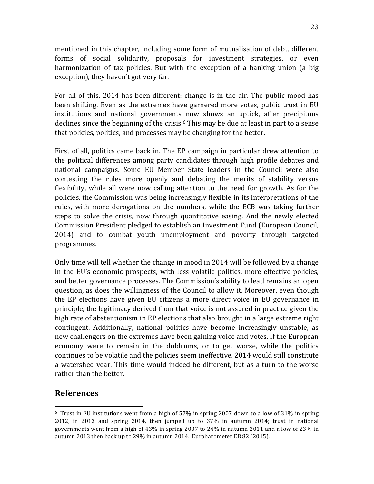mentioned in this chapter, including some form of mutualisation of debt, different forms of social solidarity, proposals for investment strategies, or even harmonization of tax policies. But with the exception of a banking union (a big exception), they haven't got very far.

For all of this, 2014 has been different: change is in the air. The public mood has been shifting. Even as the extremes have garnered more votes, public trust in EU institutions and national governments now shows an uptick, after precipitous declines since the beginning of the crisis.<sup>6</sup> This may be due at least in part to a sense that policies, politics, and processes may be changing for the better.

First of all, politics came back in. The EP campaign in particular drew attention to the political differences among party candidates through high profile debates and national campaigns. Some EU Member State leaders in the Council were also contesting the rules more openly and debating the merits of stability versus flexibility, while all were now calling attention to the need for growth. As for the policies, the Commission was being increasingly flexible in its interpretations of the rules, with more derogations on the numbers, while the ECB was taking further steps to solve the crisis, now through quantitative easing. And the newly elected Commission President pledged to establish an Investment Fund (European Council, 2014) and to combat youth unemployment and poverty through targeted programmes.

Only time will tell whether the change in mood in 2014 will be followed by a change in the EU's economic prospects, with less volatile politics, more effective policies, and better governance processes. The Commission's ability to lead remains an open question, as does the willingness of the Council to allow it. Moreover, even though the EP elections have given EU citizens a more direct voice in EU governance in principle, the legitimacy derived from that voice is not assured in practice given the high rate of abstentionism in EP elections that also brought in a large extreme right contingent. Additionally, national politics have become increasingly unstable, as new challengers on the extremes have been gaining voice and votes. If the European economy were to remain in the doldrums, or to get worse, while the politics continues to be volatile and the policies seem ineffective, 2014 would still constitute a watershed year. This time would indeed be different, but as a turn to the worse rather than the better.

### **References**

  $6$  Trust in EU institutions went from a high of 57% in spring 2007 down to a low of 31% in spring  $2012$ , in  $2013$  and spring  $2014$ , then jumped up to  $37\%$  in autumn  $2014$ ; trust in national governments went from a high of 43% in spring 2007 to 24% in autumn 2011 and a low of 23% in autumn 2013 then back up to 29% in autumn 2014. Eurobarometer EB 82 (2015).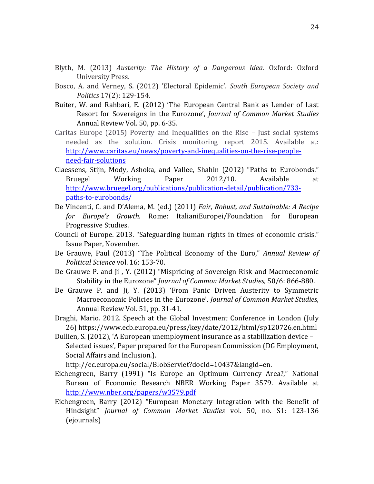- Blyth, M. (2013) *Austerity: The History of a Dangerous Idea.* Oxford: Oxford University Press.
- Bosco, A. and Verney, S. (2012) 'Electoral Epidemic'. South European Society and *Politics* 17(2): 129-154.
- Buiter, W. and Rahbari, E. (2012) 'The European Central Bank as Lender of Last Resort for Sovereigns in the Eurozone', *Journal of Common Market Studies* Annual Review Vol. 50, pp. 6-35.
- Caritas Europe  $(2015)$  Poverty and Inequalities on the Rise Just social systems needed as the solution. Crisis monitoring report 2015. Available at: http://www.caritas.eu/news/poverty-and-inequalities-on-the-rise-peopleneed-fair-solutions
- Claessens, Stijn, Mody, Ashoka, and Vallee, Shahin (2012) "Paths to Eurobonds." Bruegel Working Paper 2012/10. Available at http://www.bruegel.org/publications/publication-detail/publication/733 paths-to-eurobonds/
- De Vincenti, C. and D'Alema, M. (ed.) (2011) *Fair, Robust, and Sustainable: A Recipe* for Europe's Growth. Rome: ItalianiEuropei/Foundation for European Progressive Studies.
- Council of Europe. 2013. "Safeguarding human rights in times of economic crisis." Issue Paper, November.
- De Grauwe, Paul (2013) "The Political Economy of the Euro," *Annual Review of Political Science* vol. 16: 153-70.
- De Grauwe P. and Ji, Y. (2012) "Mispricing of Sovereign Risk and Macroeconomic Stability in the Eurozone" *Journal of Common Market Studies*, 50/6: 866-880.
- De Grauwe P. and Ji, Y. (2013) 'From Panic Driven Austerity to Symmetric Macroeconomic Policies in the Eurozone', *Journal of Common Market Studies*, Annual Review Vol. 51, pp. 31-41.
- Draghi, Mario. 2012. Speech at the Global Investment Conference in London (July 26) https://www.ecb.europa.eu/press/key/date/2012/html/sp120726.en.html
- Dullien, S. (2012), 'A European unemployment insurance as a stabilization device Selected issues', Paper prepared for the European Commission (DG Employment, Social Affairs and Inclusion.).

http://ec.europa.eu/social/BlobServlet?docId=10437&langId=en.

- Eichengreen, Barry (1991) "Is Europe an Optimum Currency Area?," National Bureau of Economic Research NBER Working Paper 3579. Available at http://www.nber.org/papers/w3579.pdf
- Eichengreen, Barry (2012) "European Monetary Integration with the Benefit of Hindsight" *Journal of Common Market Studies* vol. 50, no. S1: 123-136 (ejournals)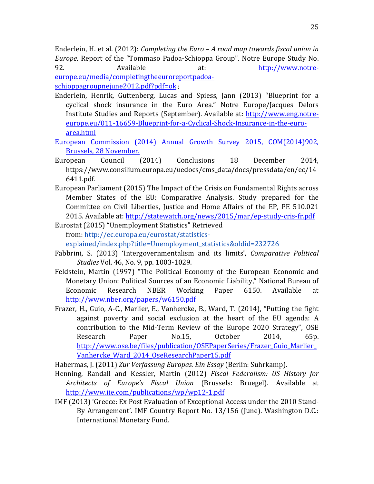Enderlein, H. et al. (2012): *Completing the Euro – A road map towards fiscal union in Europe*. Report of the "Tommaso Padoa-Schioppa Group". Notre Europe Study No. 92. Available at: http://www.notreeurope.eu/media/completingtheeuroreportpadoa-

schioppagroupnejune2012.pdf?pdf=ok ; 

- Enderlein, Henrik, Guttenberg, Lucas and Spiess, Jann (2013) "Blueprint for a cyclical shock insurance in the Euro Area." Notre Europe/Jacques Delors Institute Studies and Reports (September). Available at: http://www.eng.notreeurope.eu/011-16659-Blueprint-for-a-Cyclical-Shock-Insurance-in-the-euroarea.html
- European Commission (2014) Annual Growth Survey 2015, COM(2014)902, Brussels, 28 November.
- European Council (2014) Conclusions 18 December 2014, https://www.consilium.europa.eu/uedocs/cms\_data/docs/pressdata/en/ec/14 6411.pdf.
- European Parliament (2015) The Impact of the Crisis on Fundamental Rights across Member States of the EU: Comparative Analysis. Study prepared for the Committee on Civil Liberties, Justice and Home Affairs of the EP, PE 510.021 2015. Available at: http://statewatch.org/news/2015/mar/ep-study-cris-fr.pdf
- Eurostat (2015) "Unemployment Statistics" Retrieved from: http://ec.europa.eu/eurostat/statisticsexplained/index.php?title=Unemployment\_statistics&oldid=232726
- Fabbrini, S. (2013) 'Intergovernmentalism and its limits', *Comparative Political Studies* Vol. 46, No. 9, pp. 1003-1029.
- Feldstein, Martin (1997) "The Political Economy of the European Economic and Monetary Union: Political Sources of an Economic Liability," National Bureau of Economic Research NBER Working Paper 6150. Available at http://www.nber.org/papers/w6150.pdf
- Frazer, H., Guio, A-C., Marlier, E., Vanhercke, B., Ward, T. (2014), "Putting the fight against poverty and social exclusion at the heart of the EU agenda: A contribution to the Mid-Term Review of the Europe 2020 Strategy", OSE Research Paper No.15, October 2014, 65p. http://www.ose.be/files/publication/OSEPaperSeries/Frazer\_Guio\_Marlier\_ Vanhercke\_Ward\_2014\_OseResearchPaper15.pdf
- Habermas, J. (2011) *Zur Verfassung Europas. Ein Essay* (Berlin: Suhrkamp).
- Henning, Randall and Kessler, Martin (2012) *Fiscal Federalism: US History for Architects of Europe's Fiscal Union* (Brussels: Bruegel). Available at http://www.iie.com/publications/wp/wp12-1.pdf
- IMF (2013) 'Greece: Ex Post Evaluation of Exceptional Access under the 2010 Stand-By Arrangement'. IMF Country Report No. 13/156 (June). Washington D.C.: International Monetary Fund.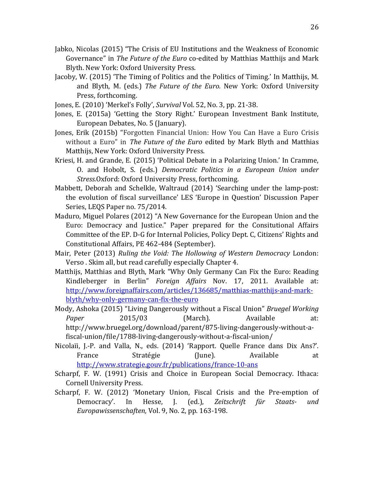- Jabko, Nicolas (2015) "The Crisis of EU Institutions and the Weakness of Economic Governance" in *The Future of the Euro* co-edited by Matthias Matthijs and Mark Blyth. New York: Oxford University Press.
- Jacoby, W. (2015) 'The Timing of Politics and the Politics of Timing.' In Matthijs, M. and Blyth, M. (eds.) *The Future of the Euro.* New York: Oxford University Press, forthcoming.
- Jones, E. (2010) 'Merkel's Folly', *Survival* Vol. 52, No. 3, pp. 21-38.
- Jones, E. (2015a) 'Getting the Story Right.' European Investment Bank Institute, European Debates, No. 5 (January).
- Jones, Erik (2015b) "Forgotten Financial Union: How You Can Have a Euro Crisis without a Euro" in *The Future of the Euro* edited by Mark Blyth and Matthias Matthijs, New York: Oxford University Press.
- Kriesi, H. and Grande, E. (2015) 'Political Debate in a Polarizing Union.' In Cramme, O. and Hobolt, S. (eds.) *Democratic Politics in a European Union under Stress.*Oxford: Oxford University Press, forthcoming.
- Mabbett, Deborah and Schelkle, Waltraud (2014) 'Searching under the lamp-post: the evolution of fiscal surveillance' LES 'Europe in Question' Discussion Paper Series, LEQS Paper no. 75/2014.
- Maduro, Miguel Polares (2012) "A New Governance for the European Union and the Euro: Democracy and Justice." Paper prepared for the Consitutional Affairs Committee of the EP. D-G for Internal Policies, Policy Dept. C, Citizens' Rights and Constitutional Affairs, PE 462-484 (September).
- Mair, Peter (2013) *Ruling the Void: The Hollowing of Western Democracy* London: Verso. Skim all, but read carefully especially Chapter 4.
- Matthijs, Matthias and Blyth, Mark "Why Only Germany Can Fix the Euro: Reading Kindleberger in Berlin" *Foreign Affairs* Nov. 17, 2011. Available at: http://www.foreignaffairs.com/articles/136685/matthias-matthijs-and-markblyth/why-only-germany-can-fix-the-euro
- Mody, Ashoka (2015) "Living Dangerously without a Fiscal Union" *Bruegel Working Paper* 2015/03 (March). Available at: http://www.bruegel.org/download/parent/875-living-dangerously-without-afiscal-union/file/1788-living-dangerously-without-a-fiscal-union/
- Nicolaïi, J.-P. and Valla, N., eds. (2014) 'Rapport. Quelle France dans Dix Ans?'. France Stratégie (June). Available at http://www.strategie.gouv.fr/publications/france-10-ans
- Scharpf, F. W. (1991) Crisis and Choice in European Social Democracy. Ithaca: Cornell University Press.
- Scharpf, F. W. (2012) 'Monetary Union, Fiscal Crisis and the Pre-emption of Democracy'. In Hesse, J. (ed.), Zeitschrift für Staats- und *Europawissenschaften, Vol. 9, No. 2, pp. 163-198.*